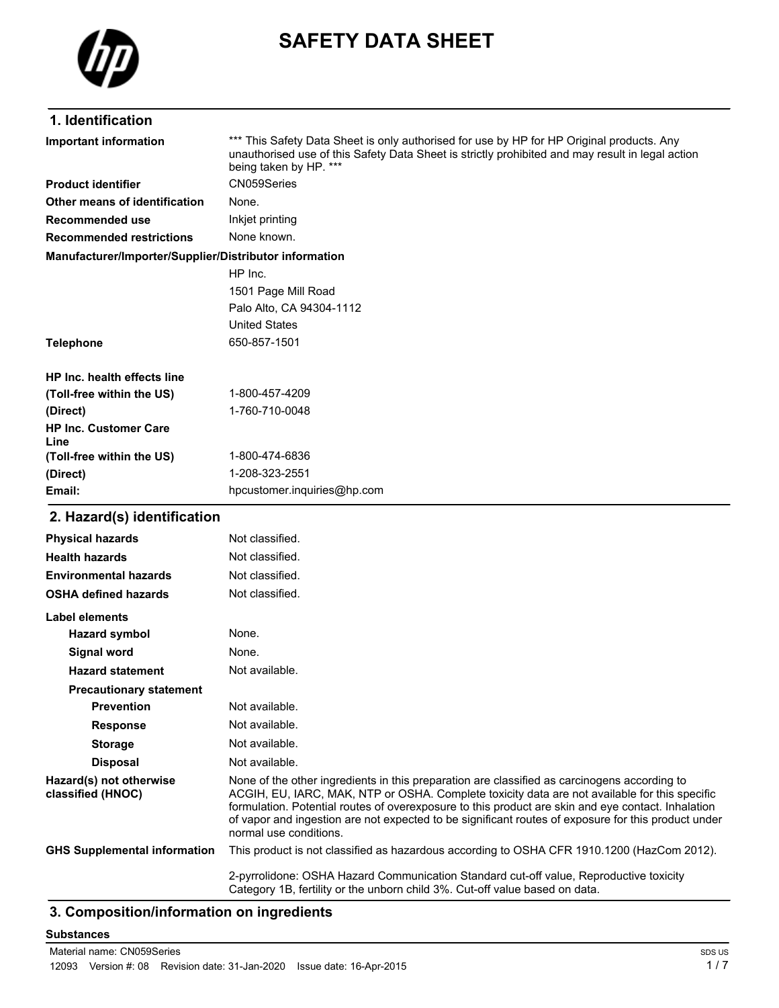

# **SAFETY DATA SHEET**

### **1. Identification**

\*\*\* This Safety Data Sheet is only authorised for use by HP for HP Original products. Any unauthorised use of this Safety Data Sheet is strictly prohibited and may result in legal action being taken by HP. \*\*\* **Important information Product identifier** CN059Series **Other means of identification** None. **Recommended use** Inkjet printing **Recommended restrictions** None known. **Manufacturer/Importer/Supplier/Distributor information** HP Inc. 1501 Page Mill Road Palo Alto, CA 94304-1112 United States **Telephone** 650-857-1501 **HP Inc. health effects line (Toll-free within the US)** 1-800-457-4209 **(Direct)** 1-760-710-0048 **HP Inc. Customer Care (Toll-free within the US)** 1-800-474-6836 **(Direct)** 1-208-323-2551 **Email:** hpcustomer.inquiries@hp.com

#### **2. Hazard(s) identification**

**Line**

| <b>Physical hazards</b>                      | Not classified.                                                                                                                                                                                                                                                                                                                                                                                                                      |
|----------------------------------------------|--------------------------------------------------------------------------------------------------------------------------------------------------------------------------------------------------------------------------------------------------------------------------------------------------------------------------------------------------------------------------------------------------------------------------------------|
| <b>Health hazards</b>                        | Not classified.                                                                                                                                                                                                                                                                                                                                                                                                                      |
| <b>Environmental hazards</b>                 | Not classified.                                                                                                                                                                                                                                                                                                                                                                                                                      |
| <b>OSHA defined hazards</b>                  | Not classified.                                                                                                                                                                                                                                                                                                                                                                                                                      |
| Label elements                               |                                                                                                                                                                                                                                                                                                                                                                                                                                      |
| <b>Hazard symbol</b>                         | None.                                                                                                                                                                                                                                                                                                                                                                                                                                |
| Signal word                                  | None.                                                                                                                                                                                                                                                                                                                                                                                                                                |
| <b>Hazard statement</b>                      | Not available.                                                                                                                                                                                                                                                                                                                                                                                                                       |
| <b>Precautionary statement</b>               |                                                                                                                                                                                                                                                                                                                                                                                                                                      |
| <b>Prevention</b>                            | Not available.                                                                                                                                                                                                                                                                                                                                                                                                                       |
| <b>Response</b>                              | Not available.                                                                                                                                                                                                                                                                                                                                                                                                                       |
| <b>Storage</b>                               | Not available.                                                                                                                                                                                                                                                                                                                                                                                                                       |
| <b>Disposal</b>                              | Not available.                                                                                                                                                                                                                                                                                                                                                                                                                       |
| Hazard(s) not otherwise<br>classified (HNOC) | None of the other ingredients in this preparation are classified as carcinogens according to<br>ACGIH, EU, IARC, MAK, NTP or OSHA. Complete toxicity data are not available for this specific<br>formulation. Potential routes of overexposure to this product are skin and eye contact. Inhalation<br>of vapor and ingestion are not expected to be significant routes of exposure for this product under<br>normal use conditions. |
| <b>GHS Supplemental information</b>          | This product is not classified as hazardous according to OSHA CFR 1910.1200 (HazCom 2012).                                                                                                                                                                                                                                                                                                                                           |
|                                              | 2-pyrrolidone: OSHA Hazard Communication Standard cut-off value, Reproductive toxicity<br>Category 1B, fertility or the unborn child 3%. Cut-off value based on data.                                                                                                                                                                                                                                                                |

## **3. Composition/information on ingredients**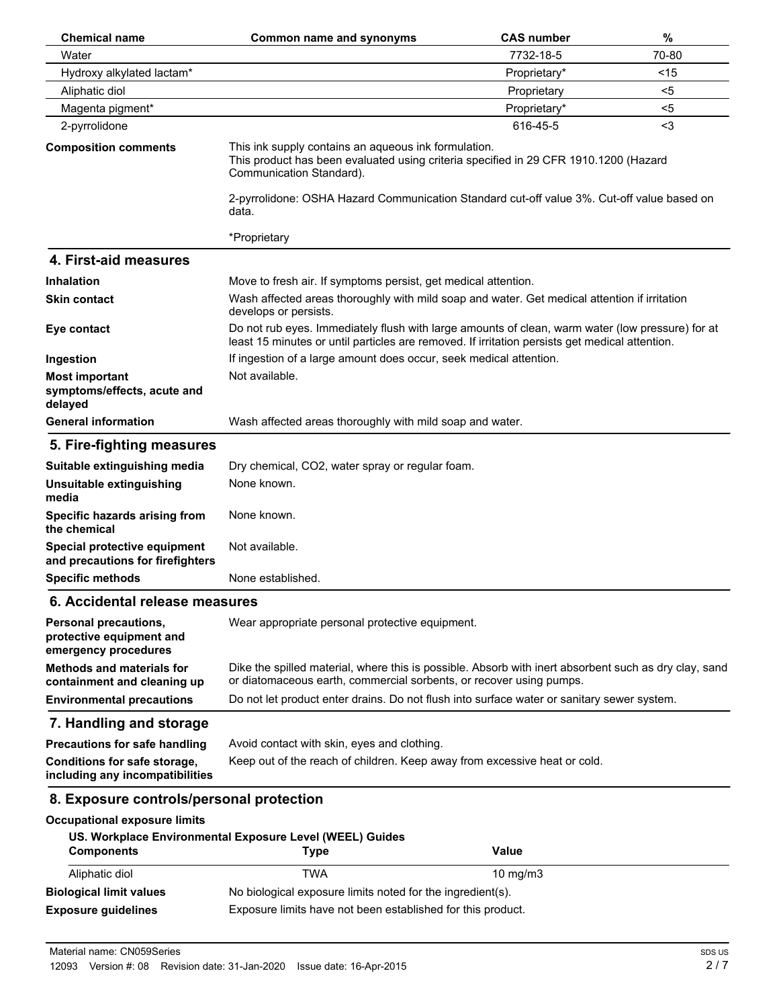| <b>Chemical name</b>                                                             | <b>Common name and synonyms</b>                                                                                                                                                                    | <b>CAS number</b> | $\%$   |
|----------------------------------------------------------------------------------|----------------------------------------------------------------------------------------------------------------------------------------------------------------------------------------------------|-------------------|--------|
| Water                                                                            |                                                                                                                                                                                                    | 7732-18-5         | 70-80  |
| Hydroxy alkylated lactam*                                                        |                                                                                                                                                                                                    | Proprietary*      | $<$ 15 |
| Aliphatic diol                                                                   |                                                                                                                                                                                                    | Proprietary       | $5$    |
| Magenta pigment*                                                                 |                                                                                                                                                                                                    | Proprietary*      | $5$    |
| 2-pyrrolidone                                                                    |                                                                                                                                                                                                    | 616-45-5          | $3$    |
| <b>Composition comments</b>                                                      | This ink supply contains an aqueous ink formulation.<br>This product has been evaluated using criteria specified in 29 CFR 1910.1200 (Hazard<br>Communication Standard).                           |                   |        |
|                                                                                  | 2-pyrrolidone: OSHA Hazard Communication Standard cut-off value 3%. Cut-off value based on<br>data.                                                                                                |                   |        |
|                                                                                  | *Proprietary                                                                                                                                                                                       |                   |        |
| 4. First-aid measures                                                            |                                                                                                                                                                                                    |                   |        |
| <b>Inhalation</b>                                                                | Move to fresh air. If symptoms persist, get medical attention.                                                                                                                                     |                   |        |
| <b>Skin contact</b>                                                              | Wash affected areas thoroughly with mild soap and water. Get medical attention if irritation<br>develops or persists.                                                                              |                   |        |
| Eye contact                                                                      | Do not rub eyes. Immediately flush with large amounts of clean, warm water (low pressure) for at<br>least 15 minutes or until particles are removed. If irritation persists get medical attention. |                   |        |
| Ingestion                                                                        | If ingestion of a large amount does occur, seek medical attention.                                                                                                                                 |                   |        |
| <b>Most important</b><br>symptoms/effects, acute and<br>delayed                  | Not available.                                                                                                                                                                                     |                   |        |
| <b>General information</b>                                                       | Wash affected areas thoroughly with mild soap and water.                                                                                                                                           |                   |        |
| 5. Fire-fighting measures                                                        |                                                                                                                                                                                                    |                   |        |
| Suitable extinguishing media                                                     | Dry chemical, CO2, water spray or regular foam.                                                                                                                                                    |                   |        |
| Unsuitable extinguishing<br>media                                                | None known.                                                                                                                                                                                        |                   |        |
| Specific hazards arising from<br>the chemical                                    | None known.                                                                                                                                                                                        |                   |        |
| Special protective equipment<br>and precautions for firefighters                 | Not available.                                                                                                                                                                                     |                   |        |
| <b>Specific methods</b>                                                          | None established.                                                                                                                                                                                  |                   |        |
| 6. Accidental release measures                                                   |                                                                                                                                                                                                    |                   |        |
| <b>Personal precautions,</b><br>protective equipment and<br>emergency procedures | Wear appropriate personal protective equipment.                                                                                                                                                    |                   |        |
| <b>Methods and materials for</b><br>containment and cleaning up                  | Dike the spilled material, where this is possible. Absorb with inert absorbent such as dry clay, sand<br>or diatomaceous earth, commercial sorbents, or recover using pumps.                       |                   |        |
| <b>Environmental precautions</b>                                                 | Do not let product enter drains. Do not flush into surface water or sanitary sewer system.                                                                                                         |                   |        |
| 7. Handling and storage                                                          |                                                                                                                                                                                                    |                   |        |
| <b>Precautions for safe handling</b>                                             | Avoid contact with skin, eyes and clothing.                                                                                                                                                        |                   |        |
| Conditions for safe storage,<br>including any incompatibilities                  | Keep out of the reach of children. Keep away from excessive heat or cold.                                                                                                                          |                   |        |
| 8. Exposure controls/personal protection                                         |                                                                                                                                                                                                    |                   |        |
| <b>Occupational exposure limits</b>                                              |                                                                                                                                                                                                    |                   |        |
| <b>Components</b>                                                                | US. Workplace Environmental Exposure Level (WEEL) Guides<br><b>Type</b>                                                                                                                            | <b>Value</b>      |        |
| Aliphatic diol                                                                   | <b>TWA</b>                                                                                                                                                                                         | 10 mg/m3          |        |
| <b>Biological limit values</b>                                                   | No biological exposure limits noted for the ingredient(s).                                                                                                                                         |                   |        |
| <b>Exposure guidelines</b>                                                       | Exposure limits have not been established for this product.                                                                                                                                        |                   |        |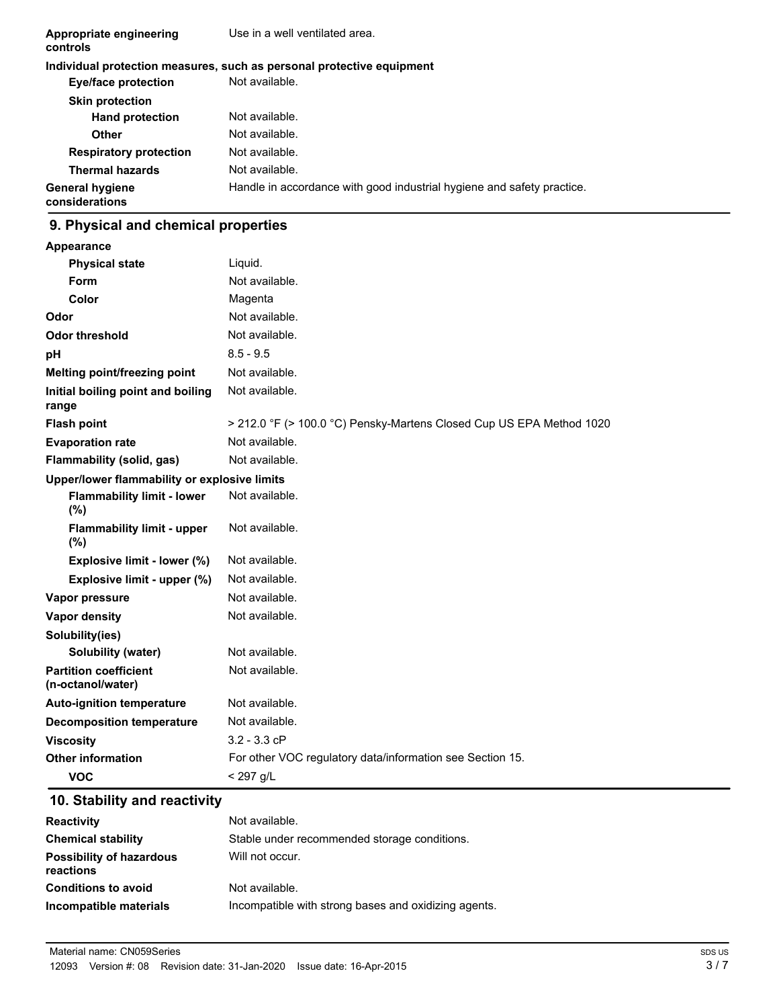| Appropriate engineering<br>controls      | Use in a well ventilated area.                                         |
|------------------------------------------|------------------------------------------------------------------------|
|                                          | Individual protection measures, such as personal protective equipment  |
| Eye/face protection                      | Not available.                                                         |
| <b>Skin protection</b>                   |                                                                        |
| <b>Hand protection</b>                   | Not available.                                                         |
| Other                                    | Not available.                                                         |
| <b>Respiratory protection</b>            | Not available.                                                         |
| <b>Thermal hazards</b>                   | Not available.                                                         |
| <b>General hygiene</b><br>considerations | Handle in accordance with good industrial hygiene and safety practice. |

# **9. Physical and chemical properties**

| Appearance                                        |                                                                      |
|---------------------------------------------------|----------------------------------------------------------------------|
| <b>Physical state</b>                             | Liquid.                                                              |
| Form                                              | Not available.                                                       |
| Color                                             | Magenta                                                              |
| Odor                                              | Not available.                                                       |
| <b>Odor threshold</b>                             | Not available.                                                       |
| рH                                                | $8.5 - 9.5$                                                          |
| Melting point/freezing point                      | Not available.                                                       |
| Initial boiling point and boiling<br>range        | Not available.                                                       |
| <b>Flash point</b>                                | > 212.0 °F (> 100.0 °C) Pensky-Martens Closed Cup US EPA Method 1020 |
| <b>Evaporation rate</b>                           | Not available.                                                       |
| Flammability (solid, gas)                         | Not available.                                                       |
| Upper/lower flammability or explosive limits      |                                                                      |
| <b>Flammability limit - lower</b><br>$(\%)$       | Not available.                                                       |
| <b>Flammability limit - upper</b><br>$(\% )$      | Not available.                                                       |
| Explosive limit - lower (%)                       | Not available.                                                       |
| Explosive limit - upper (%)                       | Not available.                                                       |
| Vapor pressure                                    | Not available.                                                       |
| <b>Vapor density</b>                              | Not available.                                                       |
| Solubility(ies)                                   |                                                                      |
| <b>Solubility (water)</b>                         | Not available.                                                       |
| <b>Partition coefficient</b><br>(n-octanol/water) | Not available.                                                       |
| <b>Auto-ignition temperature</b>                  | Not available.                                                       |
| <b>Decomposition temperature</b>                  | Not available.                                                       |
| <b>Viscosity</b>                                  | $3.2 - 3.3 cP$                                                       |
| <b>Other information</b>                          | For other VOC regulatory data/information see Section 15.            |
| <b>VOC</b>                                        | < 297 g/L                                                            |

# **10. Stability and reactivity**

| <b>Reactivity</b>                            | Not available.                                       |
|----------------------------------------------|------------------------------------------------------|
| <b>Chemical stability</b>                    | Stable under recommended storage conditions.         |
| <b>Possibility of hazardous</b><br>reactions | Will not occur.                                      |
| <b>Conditions to avoid</b>                   | Not available.                                       |
| Incompatible materials                       | Incompatible with strong bases and oxidizing agents. |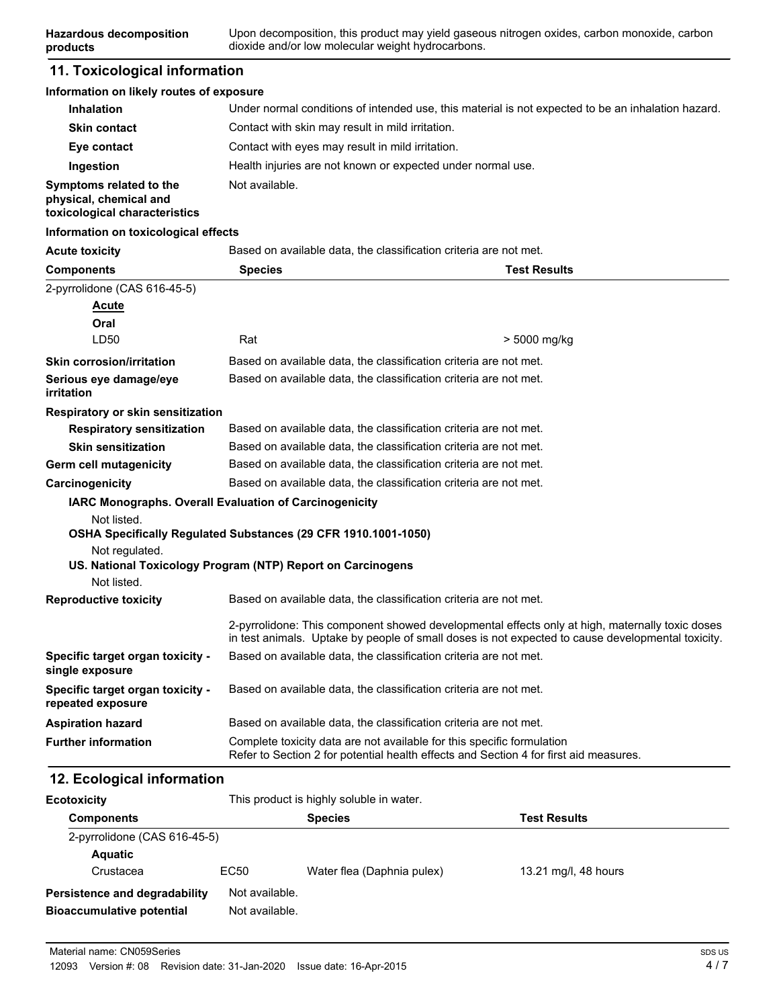# **11. Toxicological information**

**products**

#### **Information on likely routes of exposure**

| <b>Inhalation</b>                                                                  | Under normal conditions of intended use, this material is not expected to be an inhalation hazard. |
|------------------------------------------------------------------------------------|----------------------------------------------------------------------------------------------------|
| <b>Skin contact</b>                                                                | Contact with skin may result in mild irritation.                                                   |
| Eye contact                                                                        | Contact with eyes may result in mild irritation.                                                   |
| Ingestion                                                                          | Health injuries are not known or expected under normal use.                                        |
| Symptoms related to the<br>physical, chemical and<br>toxicological characteristics | Not available.                                                                                     |

#### **Information on toxicological effects**

| <b>Acute toxicity</b>                                 | Based on available data, the classification criteria are not met.                                                                                                                                    |                     |
|-------------------------------------------------------|------------------------------------------------------------------------------------------------------------------------------------------------------------------------------------------------------|---------------------|
| <b>Components</b>                                     | <b>Species</b>                                                                                                                                                                                       | <b>Test Results</b> |
| 2-pyrrolidone (CAS 616-45-5)                          |                                                                                                                                                                                                      |                     |
| <b>Acute</b>                                          |                                                                                                                                                                                                      |                     |
| Oral                                                  |                                                                                                                                                                                                      |                     |
| LD50                                                  | Rat                                                                                                                                                                                                  | > 5000 mg/kg        |
| <b>Skin corrosion/irritation</b>                      | Based on available data, the classification criteria are not met.                                                                                                                                    |                     |
| Serious eye damage/eye<br>irritation                  | Based on available data, the classification criteria are not met.                                                                                                                                    |                     |
| Respiratory or skin sensitization                     |                                                                                                                                                                                                      |                     |
| <b>Respiratory sensitization</b>                      | Based on available data, the classification criteria are not met.                                                                                                                                    |                     |
| <b>Skin sensitization</b>                             | Based on available data, the classification criteria are not met.                                                                                                                                    |                     |
| Germ cell mutagenicity                                | Based on available data, the classification criteria are not met.                                                                                                                                    |                     |
| Carcinogenicity                                       | Based on available data, the classification criteria are not met.                                                                                                                                    |                     |
|                                                       | IARC Monographs. Overall Evaluation of Carcinogenicity                                                                                                                                               |                     |
| Not listed.                                           |                                                                                                                                                                                                      |                     |
|                                                       | OSHA Specifically Regulated Substances (29 CFR 1910.1001-1050)                                                                                                                                       |                     |
| Not regulated.                                        |                                                                                                                                                                                                      |                     |
| Not listed.                                           | US. National Toxicology Program (NTP) Report on Carcinogens                                                                                                                                          |                     |
| <b>Reproductive toxicity</b>                          | Based on available data, the classification criteria are not met.                                                                                                                                    |                     |
|                                                       | 2-pyrrolidone: This component showed developmental effects only at high, maternally toxic doses<br>in test animals. Uptake by people of small doses is not expected to cause developmental toxicity. |                     |
| Specific target organ toxicity -<br>single exposure   | Based on available data, the classification criteria are not met.                                                                                                                                    |                     |
| Specific target organ toxicity -<br>repeated exposure | Based on available data, the classification criteria are not met.                                                                                                                                    |                     |
| <b>Aspiration hazard</b>                              | Based on available data, the classification criteria are not met.                                                                                                                                    |                     |
| <b>Further information</b>                            | Complete toxicity data are not available for this specific formulation<br>Refer to Section 2 for potential health effects and Section 4 for first aid measures.                                      |                     |

# **12. Ecological information**

| <b>Ecotoxicity</b>                   | This product is highly soluble in water. |                            |                      |  |
|--------------------------------------|------------------------------------------|----------------------------|----------------------|--|
| <b>Components</b>                    |                                          | <b>Species</b>             | <b>Test Results</b>  |  |
| 2-pyrrolidone (CAS 616-45-5)         |                                          |                            |                      |  |
| <b>Aquatic</b>                       |                                          |                            |                      |  |
| Crustacea                            | EC50                                     | Water flea (Daphnia pulex) | 13.21 mg/l, 48 hours |  |
| <b>Persistence and degradability</b> | Not available.                           |                            |                      |  |
| <b>Bioaccumulative potential</b>     | Not available.                           |                            |                      |  |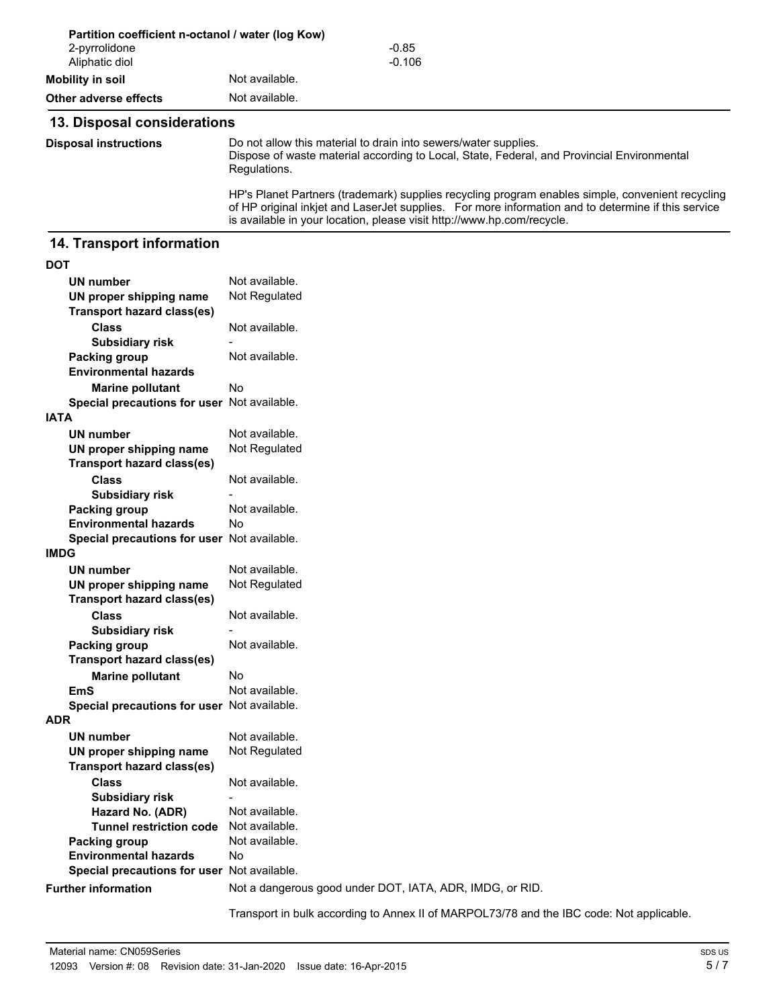|                                 | Partition coefficient n-octanol / water (log Kow)                                                                                                                                                                                                                                |  |
|---------------------------------|----------------------------------------------------------------------------------------------------------------------------------------------------------------------------------------------------------------------------------------------------------------------------------|--|
| 2-pyrrolidone<br>Aliphatic diol | $-0.85$<br>$-0.106$                                                                                                                                                                                                                                                              |  |
| Mobility in soil                | Not available.                                                                                                                                                                                                                                                                   |  |
| Other adverse effects           | Not available.                                                                                                                                                                                                                                                                   |  |
| 13. Disposal considerations     |                                                                                                                                                                                                                                                                                  |  |
| <b>Disposal instructions</b>    | Do not allow this material to drain into sewers/water supplies.<br>Dispose of waste material according to Local, State, Federal, and Provincial Environmental<br>Regulations.                                                                                                    |  |
|                                 | HP's Planet Partners (trademark) supplies recycling program enables simple, convenient recycling<br>of HP original inkjet and LaserJet supplies. For more information and to determine if this service<br>is available in your location, please visit http://www.hp.com/recycle. |  |

### **14. Transport information**

| I<br>I<br>w |
|-------------|
|             |

| <b>UN number</b>                            | Not available.                                           |
|---------------------------------------------|----------------------------------------------------------|
| UN proper shipping name                     | Not Regulated                                            |
| <b>Transport hazard class(es)</b>           |                                                          |
| <b>Class</b>                                | Not available.                                           |
| <b>Subsidiary risk</b>                      |                                                          |
| <b>Packing group</b>                        | Not available.                                           |
| <b>Environmental hazards</b>                |                                                          |
| <b>Marine pollutant</b>                     | No                                                       |
| Special precautions for user Not available. |                                                          |
| IATA                                        |                                                          |
| <b>UN number</b>                            | Not available.                                           |
| UN proper shipping name                     | Not Regulated                                            |
| <b>Transport hazard class(es)</b>           |                                                          |
| <b>Class</b>                                | Not available.                                           |
| <b>Subsidiary risk</b>                      |                                                          |
| <b>Packing group</b>                        | Not available.                                           |
| <b>Environmental hazards</b>                | N٥                                                       |
| Special precautions for user Not available. |                                                          |
| <b>IMDG</b>                                 |                                                          |
| <b>UN number</b>                            | Not available.                                           |
| UN proper shipping name                     | Not Regulated                                            |
| <b>Transport hazard class(es)</b>           |                                                          |
| <b>Class</b>                                | Not available.                                           |
| <b>Subsidiary risk</b>                      |                                                          |
| <b>Packing group</b>                        | Not available.                                           |
| <b>Transport hazard class(es)</b>           |                                                          |
| <b>Marine pollutant</b>                     | No                                                       |
| <b>EmS</b>                                  | Not available.                                           |
| Special precautions for user Not available. |                                                          |
| ADR                                         |                                                          |
| <b>UN number</b>                            | Not available.                                           |
| UN proper shipping name                     | Not Regulated                                            |
| <b>Transport hazard class(es)</b>           |                                                          |
| <b>Class</b>                                | Not available.                                           |
| <b>Subsidiary risk</b>                      |                                                          |
| Hazard No. (ADR)                            | Not available.                                           |
| <b>Tunnel restriction code</b>              | Not available.                                           |
| <b>Packing group</b>                        | Not available.                                           |
| <b>Environmental hazards</b>                | No                                                       |
| Special precautions for user Not available. |                                                          |
| <b>Further information</b>                  | Not a dangerous good under DOT, IATA, ADR, IMDG, or RID. |
|                                             |                                                          |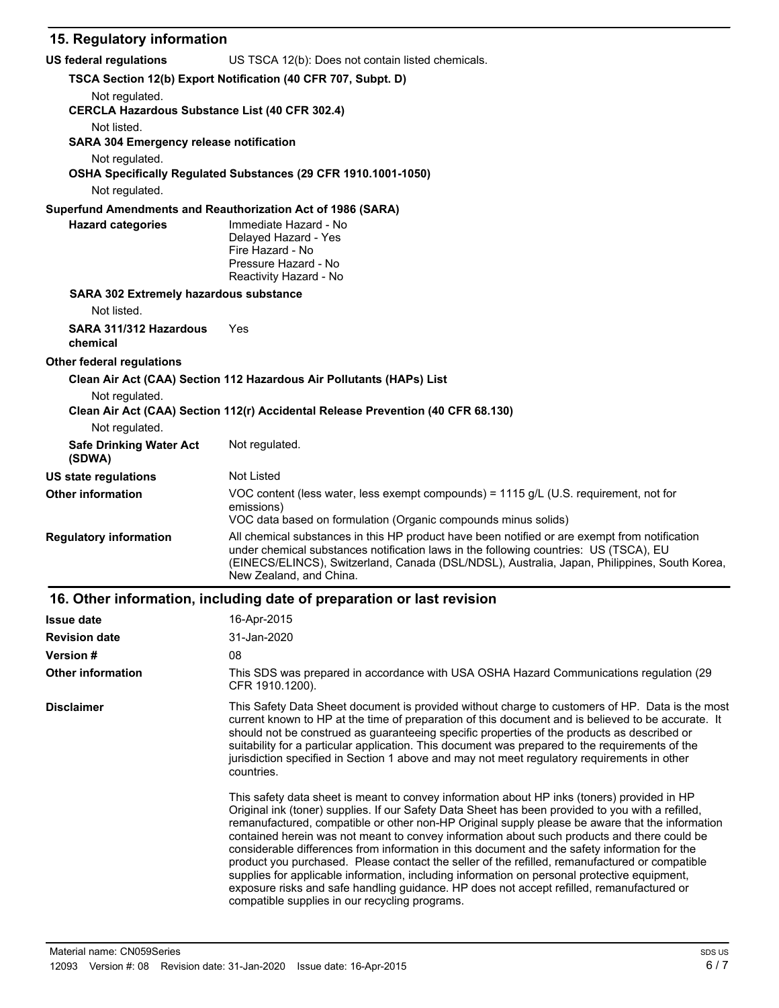# **15. Regulatory information**

| US federal regulations                                                  | US TSCA 12(b): Does not contain listed chemicals.                                                                                                                                                                                                                                                                                                                                                                                                                                                                                                                                                                                                                                                                                                                                                                                                    |
|-------------------------------------------------------------------------|------------------------------------------------------------------------------------------------------------------------------------------------------------------------------------------------------------------------------------------------------------------------------------------------------------------------------------------------------------------------------------------------------------------------------------------------------------------------------------------------------------------------------------------------------------------------------------------------------------------------------------------------------------------------------------------------------------------------------------------------------------------------------------------------------------------------------------------------------|
|                                                                         | TSCA Section 12(b) Export Notification (40 CFR 707, Subpt. D)                                                                                                                                                                                                                                                                                                                                                                                                                                                                                                                                                                                                                                                                                                                                                                                        |
| Not regulated.<br><b>CERCLA Hazardous Substance List (40 CFR 302.4)</b> |                                                                                                                                                                                                                                                                                                                                                                                                                                                                                                                                                                                                                                                                                                                                                                                                                                                      |
| Not listed.<br><b>SARA 304 Emergency release notification</b>           |                                                                                                                                                                                                                                                                                                                                                                                                                                                                                                                                                                                                                                                                                                                                                                                                                                                      |
| Not regulated.                                                          | OSHA Specifically Regulated Substances (29 CFR 1910.1001-1050)                                                                                                                                                                                                                                                                                                                                                                                                                                                                                                                                                                                                                                                                                                                                                                                       |
| Not regulated.                                                          |                                                                                                                                                                                                                                                                                                                                                                                                                                                                                                                                                                                                                                                                                                                                                                                                                                                      |
|                                                                         | Superfund Amendments and Reauthorization Act of 1986 (SARA)                                                                                                                                                                                                                                                                                                                                                                                                                                                                                                                                                                                                                                                                                                                                                                                          |
| <b>Hazard categories</b>                                                | Immediate Hazard - No<br>Delayed Hazard - Yes<br>Fire Hazard - No<br>Pressure Hazard - No<br>Reactivity Hazard - No                                                                                                                                                                                                                                                                                                                                                                                                                                                                                                                                                                                                                                                                                                                                  |
| SARA 302 Extremely hazardous substance                                  |                                                                                                                                                                                                                                                                                                                                                                                                                                                                                                                                                                                                                                                                                                                                                                                                                                                      |
| Not listed.                                                             |                                                                                                                                                                                                                                                                                                                                                                                                                                                                                                                                                                                                                                                                                                                                                                                                                                                      |
| SARA 311/312 Hazardous<br>chemical                                      | Yes                                                                                                                                                                                                                                                                                                                                                                                                                                                                                                                                                                                                                                                                                                                                                                                                                                                  |
| <b>Other federal regulations</b>                                        |                                                                                                                                                                                                                                                                                                                                                                                                                                                                                                                                                                                                                                                                                                                                                                                                                                                      |
|                                                                         | Clean Air Act (CAA) Section 112 Hazardous Air Pollutants (HAPs) List                                                                                                                                                                                                                                                                                                                                                                                                                                                                                                                                                                                                                                                                                                                                                                                 |
| Not regulated.                                                          | Clean Air Act (CAA) Section 112(r) Accidental Release Prevention (40 CFR 68.130)                                                                                                                                                                                                                                                                                                                                                                                                                                                                                                                                                                                                                                                                                                                                                                     |
| Not regulated.                                                          |                                                                                                                                                                                                                                                                                                                                                                                                                                                                                                                                                                                                                                                                                                                                                                                                                                                      |
| <b>Safe Drinking Water Act</b><br>(SDWA)                                | Not regulated.                                                                                                                                                                                                                                                                                                                                                                                                                                                                                                                                                                                                                                                                                                                                                                                                                                       |
| <b>US state regulations</b>                                             | Not Listed                                                                                                                                                                                                                                                                                                                                                                                                                                                                                                                                                                                                                                                                                                                                                                                                                                           |
| <b>Other information</b>                                                | VOC content (less water, less exempt compounds) = 1115 g/L (U.S. requirement, not for<br>emissions)<br>VOC data based on formulation (Organic compounds minus solids)                                                                                                                                                                                                                                                                                                                                                                                                                                                                                                                                                                                                                                                                                |
| <b>Regulatory information</b>                                           | All chemical substances in this HP product have been notified or are exempt from notification<br>under chemical substances notification laws in the following countries: US (TSCA), EU<br>(EINECS/ELINCS), Switzerland, Canada (DSL/NDSL), Australia, Japan, Philippines, South Korea,<br>New Zealand, and China.                                                                                                                                                                                                                                                                                                                                                                                                                                                                                                                                    |
|                                                                         | 16. Other information, including date of preparation or last revision                                                                                                                                                                                                                                                                                                                                                                                                                                                                                                                                                                                                                                                                                                                                                                                |
| <b>Issue date</b>                                                       | 16-Apr-2015                                                                                                                                                                                                                                                                                                                                                                                                                                                                                                                                                                                                                                                                                                                                                                                                                                          |
| <b>Revision date</b>                                                    | 31-Jan-2020                                                                                                                                                                                                                                                                                                                                                                                                                                                                                                                                                                                                                                                                                                                                                                                                                                          |
| Version #                                                               | 08                                                                                                                                                                                                                                                                                                                                                                                                                                                                                                                                                                                                                                                                                                                                                                                                                                                   |
| <b>Other information</b>                                                | This SDS was prepared in accordance with USA OSHA Hazard Communications regulation (29<br>CFR 1910.1200).                                                                                                                                                                                                                                                                                                                                                                                                                                                                                                                                                                                                                                                                                                                                            |
| <b>Disclaimer</b>                                                       | This Safety Data Sheet document is provided without charge to customers of HP. Data is the most<br>current known to HP at the time of preparation of this document and is believed to be accurate. It<br>should not be construed as guaranteeing specific properties of the products as described or<br>suitability for a particular application. This document was prepared to the requirements of the<br>jurisdiction specified in Section 1 above and may not meet regulatory requirements in other<br>countries.                                                                                                                                                                                                                                                                                                                                 |
|                                                                         | This safety data sheet is meant to convey information about HP inks (toners) provided in HP<br>Original ink (toner) supplies. If our Safety Data Sheet has been provided to you with a refilled,<br>remanufactured, compatible or other non-HP Original supply please be aware that the information<br>contained herein was not meant to convey information about such products and there could be<br>considerable differences from information in this document and the safety information for the<br>product you purchased. Please contact the seller of the refilled, remanufactured or compatible<br>supplies for applicable information, including information on personal protective equipment,<br>exposure risks and safe handling guidance. HP does not accept refilled, remanufactured or<br>compatible supplies in our recycling programs. |